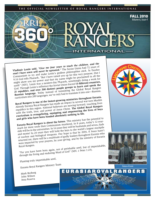THE OFFICIAL NEWSLETTER OF ROYAL RANGERS INTERNATIONAL

INTERNATIONAI

**Vladimir Lenin said,** *"Give me four years to teach the children, and the*  seed I have sown will never be uprooted." The Soviet Union had 72 years of Communism to try and make Lenin's godless philosophies stick. In Exodus 9:16 God tells Pharaoh, "But I have raised you up for this very purpose, that I might show you my power and that my name might be proclaimed in all the earth" (NIV). Lenin was a modern-day Pharaoh, unwittingly doing a work for God. Through Lenin's influence the Soviet Union forced **15 different countries, 21 republics, and over 200 distinct people groups to learn and speak the Russian language.** Today instead of translating the Global Royal Rangers curriculum into 200 languages, we've only had to translate it into one—Russian.

**Royal Rangers is one of the fastest-growing ministries throughout Eurasia.**  Already Eurasia Royal Rangers has made an impact in several war-torn Muslim<br>Already Eurasia Royal Rangers has made an impact in several war-torn Muslim republics in this region. National believers are moving forward, touching lives with the truth, love, and power of Jesus Christ. **The Global Royal Rangers** with the truth, love, and power of Jesus Christ. **The Global Royal Rangers curriculum** is evangelizing, equipping and empowering the lives of boys curriculum is evangelizing, equipping and empowering the lives of boys and girls who have been handed absolutely nothing in life.

**Eurasia Royal Rangers is about the future.** This ministry has the potential to reach far more souls than Communism murdered. In 8 years, today's 12-yearolds will be in the universities. In 16 years they will be husbands and wives, dads and moms! In 24 years they will hold the keys to the world's largest stockpile of nuclear and biological weapons. Our hope is that by 2034, if Jesus hasn't returned yet, there will be a multitude of godly leaders throughout Eurasia who were impacted by your prayers, by your giving, and by the ministry of Eurasia<br>Royal Rangers.

Royal Rangers.<br>"For you have been born again, not of perishable seed, but of imperishable,<br>"For you have been born again, not of God" (NIV, 1 Peter 1:23). through the living and enduring Word of God" (NIV,  $1$  Peter 1:23).

Planting truly imperishable seed,

Eurasia Royal Rangers Ministry Team

Mark Broberg John Wilson Inna Kosova





FALL 2010 *Volume 6, Issue 4*